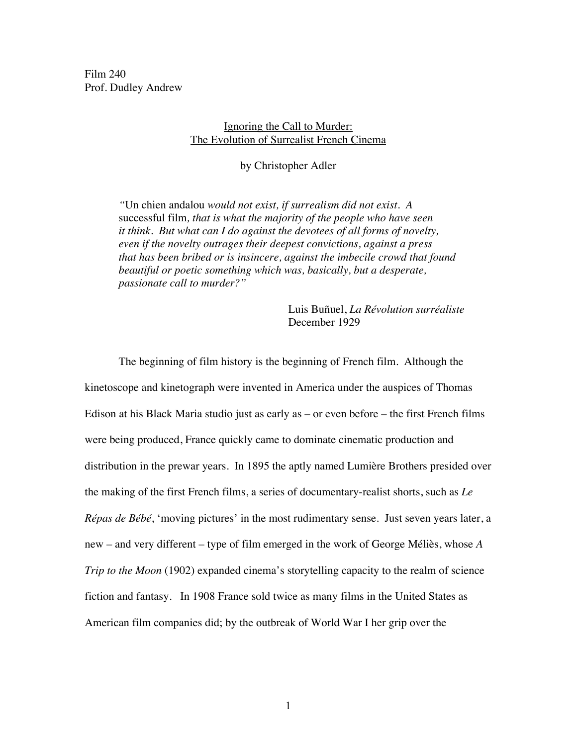Film 240 Prof. Dudley Andrew

## Ignoring the Call to Murder: The Evolution of Surrealist French Cinema

by Christopher Adler

*"*Un chien andalou *would not exist, if surrealism did not exist. A*  successful film*, that is what the majority of the people who have seen it think. But what can I do against the devotees of all forms of novelty, even if the novelty outrages their deepest convictions, against a press that has been bribed or is insincere, against the imbecile crowd that found beautiful or poetic something which was, basically, but a desperate, passionate call to murder?"*

> Luis Buñuel, *La Révolution surréaliste*  December 1929

The beginning of film history is the beginning of French film. Although the kinetoscope and kinetograph were invented in America under the auspices of Thomas Edison at his Black Maria studio just as early as – or even before – the first French films were being produced, France quickly came to dominate cinematic production and distribution in the prewar years. In 1895 the aptly named Lumière Brothers presided over the making of the first French films, a series of documentary-realist shorts, such as *Le Répas de Bébé*, 'moving pictures' in the most rudimentary sense. Just seven years later, a new – and very different – type of film emerged in the work of George Méliès, whose *A Trip to the Moon* (1902) expanded cinema's storytelling capacity to the realm of science fiction and fantasy. In 1908 France sold twice as many films in the United States as American film companies did; by the outbreak of World War I her grip over the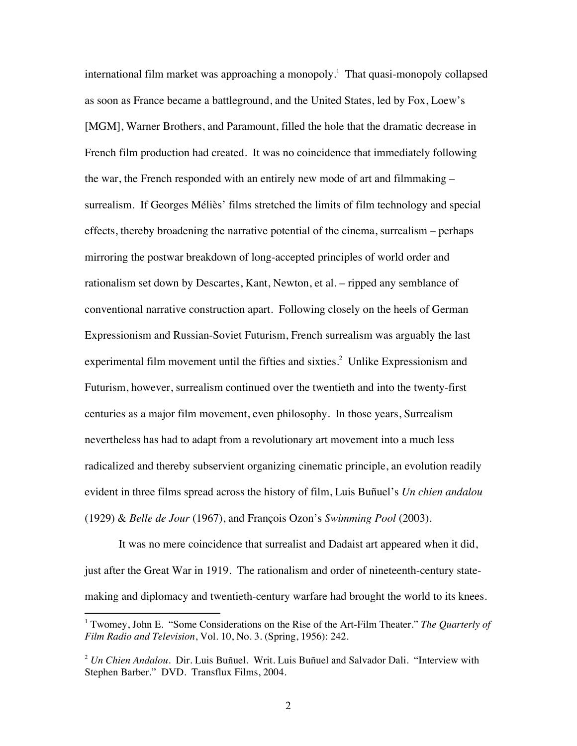international film market was approaching a monopoly.<sup>1</sup> That quasi-monopoly collapsed as soon as France became a battleground, and the United States, led by Fox, Loew's [MGM], Warner Brothers, and Paramount, filled the hole that the dramatic decrease in French film production had created. It was no coincidence that immediately following the war, the French responded with an entirely new mode of art and filmmaking – surrealism. If Georges Méliès' films stretched the limits of film technology and special effects, thereby broadening the narrative potential of the cinema, surrealism – perhaps mirroring the postwar breakdown of long-accepted principles of world order and rationalism set down by Descartes, Kant, Newton, et al. – ripped any semblance of conventional narrative construction apart. Following closely on the heels of German Expressionism and Russian-Soviet Futurism, French surrealism was arguably the last experimental film movement until the fifties and sixties.<sup>2</sup> Unlike Expressionism and Futurism, however, surrealism continued over the twentieth and into the twenty-first centuries as a major film movement, even philosophy. In those years, Surrealism nevertheless has had to adapt from a revolutionary art movement into a much less radicalized and thereby subservient organizing cinematic principle, an evolution readily evident in three films spread across the history of film, Luis Buñuel's *Un chien andalou*  (1929) & *Belle de Jour* (1967), and François Ozon's *Swimming Pool* (2003).

It was no mere coincidence that surrealist and Dadaist art appeared when it did, just after the Great War in 1919. The rationalism and order of nineteenth-century statemaking and diplomacy and twentieth-century warfare had brought the world to its knees.

<sup>&</sup>lt;sup>1</sup> Twomey, John E. "Some Considerations on the Rise of the Art-Film Theater." *The Quarterly of Film Radio and Television*, Vol. 10, No. 3. (Spring, 1956): 242.

<sup>2</sup> *Un Chien Andalou*. Dir. Luis Buñuel. Writ. Luis Buñuel and Salvador Dali. "Interview with Stephen Barber." DVD. Transflux Films, 2004.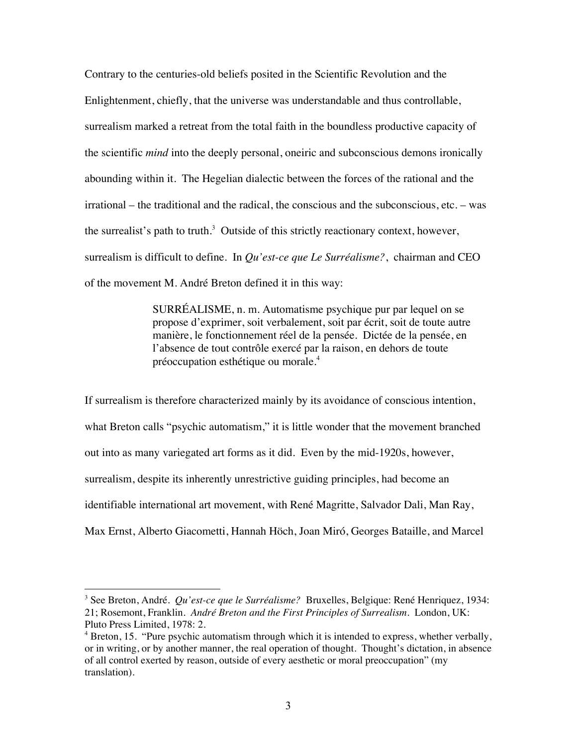Contrary to the centuries-old beliefs posited in the Scientific Revolution and the Enlightenment, chiefly, that the universe was understandable and thus controllable, surrealism marked a retreat from the total faith in the boundless productive capacity of the scientific *mind* into the deeply personal, oneiric and subconscious demons ironically abounding within it. The Hegelian dialectic between the forces of the rational and the irrational – the traditional and the radical, the conscious and the subconscious, etc. – was the surrealist's path to truth.<sup>3</sup> Outside of this strictly reactionary context, however, surrealism is difficult to define. In *Qu'est-ce que Le Surréalisme?*, chairman and CEO of the movement M. André Breton defined it in this way:

> SURRÉALISME, n. m. Automatisme psychique pur par lequel on se propose d'exprimer, soit verbalement, soit par écrit, soit de toute autre manière, le fonctionnement réel de la pensée. Dictée de la pensée, en l'absence de tout contrôle exercé par la raison, en dehors de toute préoccupation esthétique ou morale.4

If surrealism is therefore characterized mainly by its avoidance of conscious intention, what Breton calls "psychic automatism," it is little wonder that the movement branched out into as many variegated art forms as it did. Even by the mid-1920s, however, surrealism, despite its inherently unrestrictive guiding principles, had become an identifiable international art movement, with René Magritte, Salvador Dali, Man Ray, Max Ernst, Alberto Giacometti, Hannah Höch, Joan Miró, Georges Bataille, and Marcel

<sup>3</sup> See Breton, André. *Qu'est-ce que le Surréalisme?* Bruxelles, Belgique: René Henriquez, 1934: 21; Rosemont, Franklin. *André Breton and the First Principles of Surrealism*. London, UK: Pluto Press Limited, 1978: 2.

<sup>&</sup>lt;sup>4</sup> Breton, 15. "Pure psychic automatism through which it is intended to express, whether verbally, or in writing, or by another manner, the real operation of thought. Thought's dictation, in absence of all control exerted by reason, outside of every aesthetic or moral preoccupation" (my translation).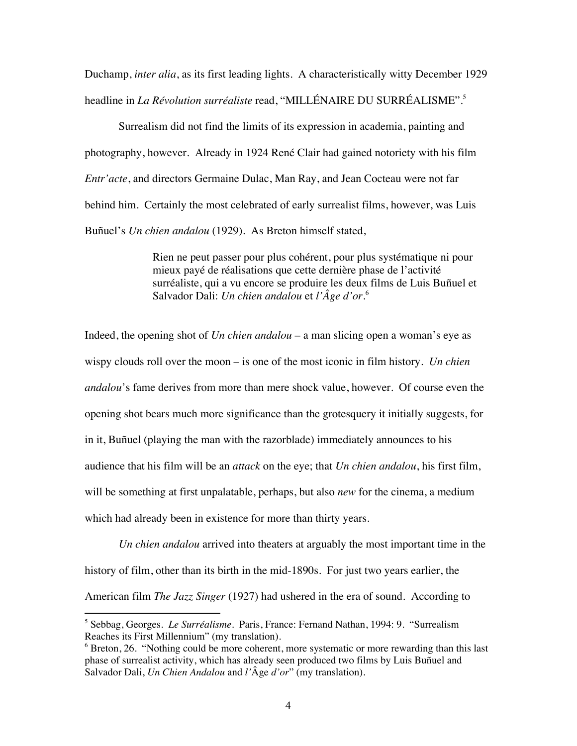Duchamp, *inter alia*, as its first leading lights. A characteristically witty December 1929 headline in *La Révolution surréaliste* read, "MILLÉNAIRE DU SURRÉALISME".5

Surrealism did not find the limits of its expression in academia, painting and photography, however. Already in 1924 René Clair had gained notoriety with his film *Entr'acte*, and directors Germaine Dulac, Man Ray, and Jean Cocteau were not far behind him. Certainly the most celebrated of early surrealist films, however, was Luis Buñuel's *Un chien andalou* (1929). As Breton himself stated,

> Rien ne peut passer pour plus cohérent, pour plus systématique ni pour mieux payé de réalisations que cette dernière phase de l'activité surréaliste, qui a vu encore se produire les deux films de Luis Buñuel et Salvador Dali: *Un chien andalou* et *l'Âge d'or*. 6

Indeed, the opening shot of *Un chien andalou* – a man slicing open a woman's eye as wispy clouds roll over the moon – is one of the most iconic in film history. *Un chien andalou*'s fame derives from more than mere shock value, however. Of course even the opening shot bears much more significance than the grotesquery it initially suggests, for in it, Buñuel (playing the man with the razorblade) immediately announces to his audience that his film will be an *attack* on the eye; that *Un chien andalou*, his first film, will be something at first unpalatable, perhaps, but also *new* for the cinema, a medium which had already been in existence for more than thirty years.

*Un chien andalou* arrived into theaters at arguably the most important time in the history of film, other than its birth in the mid-1890s. For just two years earlier, the American film *The Jazz Singer* (1927) had ushered in the era of sound. According to

5 Sebbag, Georges. *Le Surréalisme*. Paris, France: Fernand Nathan, 1994: 9. "Surrealism Reaches its First Millennium" (my translation).

<sup>&</sup>lt;sup>6</sup> Breton, 26. "Nothing could be more coherent, more systematic or more rewarding than this last phase of surrealist activity, which has already seen produced two films by Luis Buñuel and Salvador Dali, *Un Chien Andalou* and *l'*Âge *d'or*" (my translation).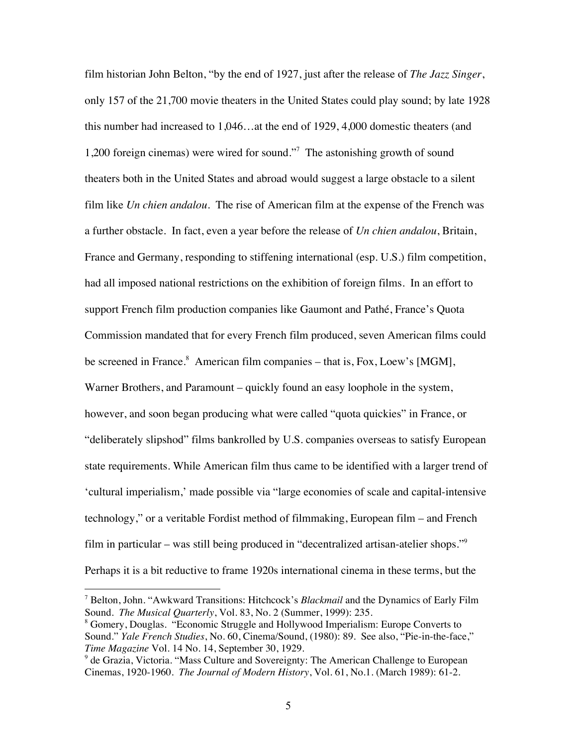film historian John Belton, "by the end of 1927, just after the release of *The Jazz Singer*, only 157 of the 21,700 movie theaters in the United States could play sound; by late 1928 this number had increased to 1,046…at the end of 1929, 4,000 domestic theaters (and 1,200 foreign cinemas) were wired for sound."7 The astonishing growth of sound theaters both in the United States and abroad would suggest a large obstacle to a silent film like *Un chien andalou*. The rise of American film at the expense of the French was a further obstacle. In fact, even a year before the release of *Un chien andalou*, Britain, France and Germany, responding to stiffening international (esp. U.S.) film competition, had all imposed national restrictions on the exhibition of foreign films. In an effort to support French film production companies like Gaumont and Pathé, France's Quota Commission mandated that for every French film produced, seven American films could be screened in France.<sup>8</sup> American film companies – that is, Fox, Loew's [MGM], Warner Brothers, and Paramount – quickly found an easy loophole in the system, however, and soon began producing what were called "quota quickies" in France, or "deliberately slipshod" films bankrolled by U.S. companies overseas to satisfy European state requirements. While American film thus came to be identified with a larger trend of 'cultural imperialism,' made possible via "large economies of scale and capital-intensive technology," or a veritable Fordist method of filmmaking, European film – and French film in particular – was still being produced in "decentralized artisan-atelier shops."9 Perhaps it is a bit reductive to frame 1920s international cinema in these terms, but the

<sup>7</sup> Belton, John. "Awkward Transitions: Hitchcock's *Blackmail* and the Dynamics of Early Film Sound. *The Musical Quarterly*, Vol. 83, No. 2 (Summer, 1999): 235. 8

Gomery, Douglas. "Economic Struggle and Hollywood Imperialism: Europe Converts to Sound." *Yale French Studies*, No. 60, Cinema/Sound, (1980): 89. See also, "Pie-in-the-face," *Time Magazine* Vol. 14 No. 14, September 30, 1929.

<sup>&</sup>lt;sup>9</sup> de Grazia, Victoria. "Mass Culture and Sovereignty: The American Challenge to European Cinemas, 1920-1960. *The Journal of Modern History*, Vol. 61, No.1. (March 1989): 61-2.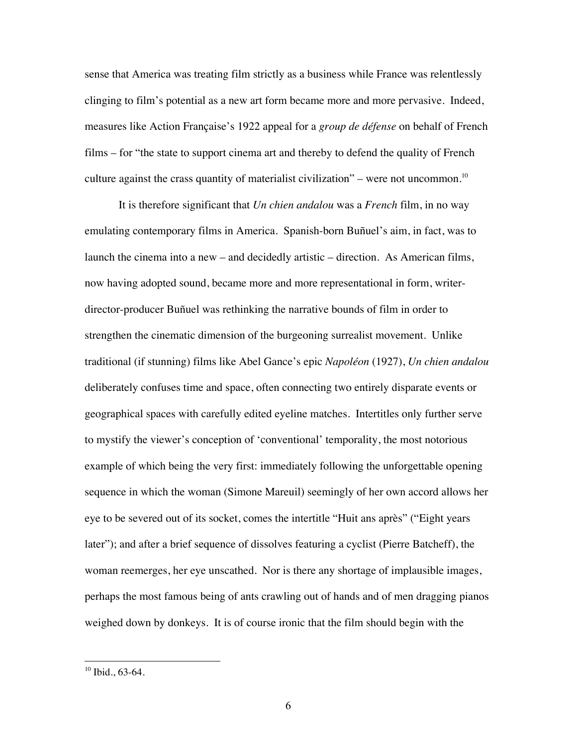sense that America was treating film strictly as a business while France was relentlessly clinging to film's potential as a new art form became more and more pervasive. Indeed, measures like Action Française's 1922 appeal for a *group de défense* on behalf of French films – for "the state to support cinema art and thereby to defend the quality of French culture against the crass quantity of materialist civilization" – were not uncommon.<sup>10</sup>

It is therefore significant that *Un chien andalou* was a *French* film, in no way emulating contemporary films in America. Spanish-born Buñuel's aim, in fact, was to launch the cinema into a new – and decidedly artistic – direction. As American films, now having adopted sound, became more and more representational in form, writerdirector-producer Buñuel was rethinking the narrative bounds of film in order to strengthen the cinematic dimension of the burgeoning surrealist movement. Unlike traditional (if stunning) films like Abel Gance's epic *Napoléon* (1927), *Un chien andalou* deliberately confuses time and space, often connecting two entirely disparate events or geographical spaces with carefully edited eyeline matches. Intertitles only further serve to mystify the viewer's conception of 'conventional' temporality, the most notorious example of which being the very first: immediately following the unforgettable opening sequence in which the woman (Simone Mareuil) seemingly of her own accord allows her eye to be severed out of its socket, comes the intertitle "Huit ans après" ("Eight years later"); and after a brief sequence of dissolves featuring a cyclist (Pierre Batcheff), the woman reemerges, her eye unscathed. Nor is there any shortage of implausible images, perhaps the most famous being of ants crawling out of hands and of men dragging pianos weighed down by donkeys. It is of course ironic that the film should begin with the

 $10$  Ibid., 63-64.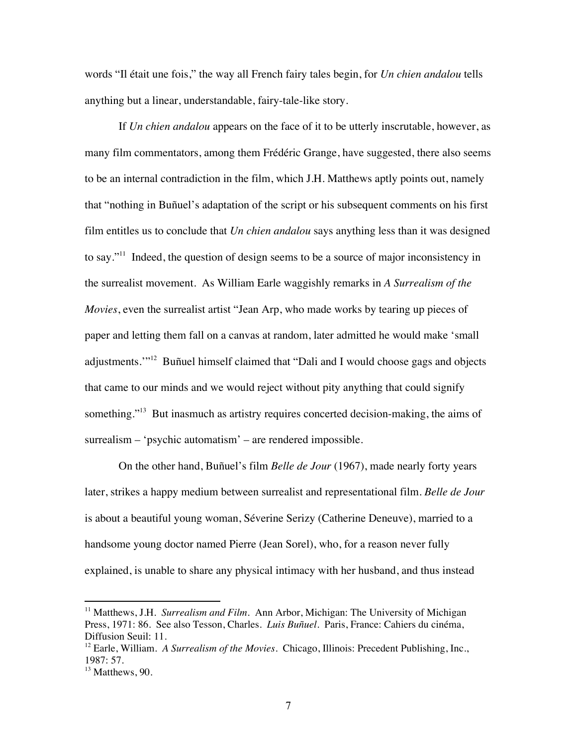words "Il était une fois," the way all French fairy tales begin, for *Un chien andalou* tells anything but a linear, understandable, fairy-tale-like story.

If *Un chien andalou* appears on the face of it to be utterly inscrutable, however, as many film commentators, among them Frédéric Grange, have suggested, there also seems to be an internal contradiction in the film, which J.H. Matthews aptly points out, namely that "nothing in Buñuel's adaptation of the script or his subsequent comments on his first film entitles us to conclude that *Un chien andalou* says anything less than it was designed to say."11 Indeed, the question of design seems to be a source of major inconsistency in the surrealist movement. As William Earle waggishly remarks in *A Surrealism of the Movies*, even the surrealist artist "Jean Arp, who made works by tearing up pieces of paper and letting them fall on a canvas at random, later admitted he would make 'small adjustments."<sup>12</sup> Buñuel himself claimed that "Dali and I would choose gags and objects that came to our minds and we would reject without pity anything that could signify something."<sup>13</sup> But inasmuch as artistry requires concerted decision-making, the aims of surrealism – 'psychic automatism' – are rendered impossible.

On the other hand, Buñuel's film *Belle de Jour* (1967), made nearly forty years later, strikes a happy medium between surrealist and representational film. *Belle de Jour* is about a beautiful young woman, Séverine Serizy (Catherine Deneuve), married to a handsome young doctor named Pierre (Jean Sorel), who, for a reason never fully explained, is unable to share any physical intimacy with her husband, and thus instead

<sup>&</sup>lt;sup>11</sup> Matthews, J.H. *Surrealism and Film*. Ann Arbor, Michigan: The University of Michigan Press, 1971: 86. See also Tesson, Charles. *Luis Buñuel*. Paris, France: Cahiers du cinéma, Diffusion Seuil: 11.

<sup>&</sup>lt;sup>12</sup> Earle, William. *A Surrealism of the Movies.* Chicago, Illinois: Precedent Publishing, Inc., 1987: 57.

 $13$  Matthews, 90.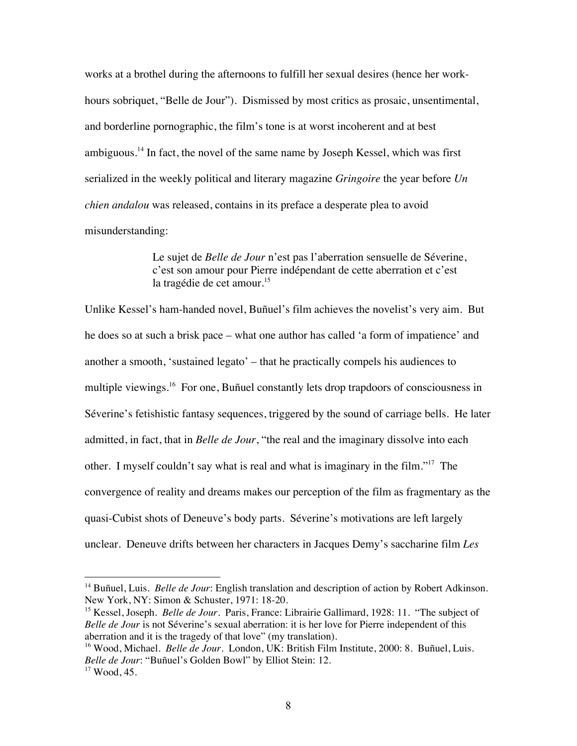works at a brothel during the afternoons to fulfill her sexual desires (hence her workhours sobriquet, "Belle de Jour"). Dismissed by most critics as prosaic, unsentimental, and borderline pornographic, the film's tone is at worst incoherent and at best ambiguous.<sup>14</sup> In fact, the novel of the same name by Joseph Kessel, which was first serialized in the weekly political and literary magazine *Gringoire* the year before *Un chien andalou* was released, contains in its preface a desperate plea to avoid misunderstanding:

> Le sujet de *Belle de Jour* n'est pas l'aberration sensuelle de Séverine, c'est son amour pour Pierre indépendant de cette aberration et c'est la tragédie de cet amour.<sup>15</sup>

Unlike Kessel's ham-handed novel, Buñuel's film achieves the novelist's very aim. But he does so at such a brisk pace – what one author has called 'a form of impatience' and another a smooth, 'sustained legato' – that he practically compels his audiences to multiple viewings.<sup>16</sup> For one, Buñuel constantly lets drop trapdoors of consciousness in Séverine's fetishistic fantasy sequences, triggered by the sound of carriage bells. He later admitted, in fact, that in *Belle de Jour*, "the real and the imaginary dissolve into each other. I myself couldn't say what is real and what is imaginary in the film."17 The convergence of reality and dreams makes our perception of the film as fragmentary as the quasi-Cubist shots of Deneuve's body parts. Séverine's motivations are left largely unclear. Deneuve drifts between her characters in Jacques Demy's saccharine film *Les* 

<sup>&</sup>lt;sup>14</sup> Buñuel, Luis. *Belle de Jour*: English translation and description of action by Robert Adkinson. New York, NY: Simon & Schuster, 1971: 18-20.

<sup>&</sup>lt;sup>15</sup> Kessel, Joseph. *Belle de Jour*. Paris, France: Librairie Gallimard, 1928: 11. "The subject of *Belle de Jour* is not Séverine's sexual aberration: it is her love for Pierre independent of this aberration and it is the tragedy of that love" (my translation).

<sup>&</sup>lt;sup>16</sup> Wood, Michael. *Belle de Jour*. London, UK: British Film Institute, 2000: 8. Buñuel, Luis. *Belle de Jour*: "Buñuel's Golden Bowl" by Elliot Stein: 12.<br><sup>17</sup> Wood, 45.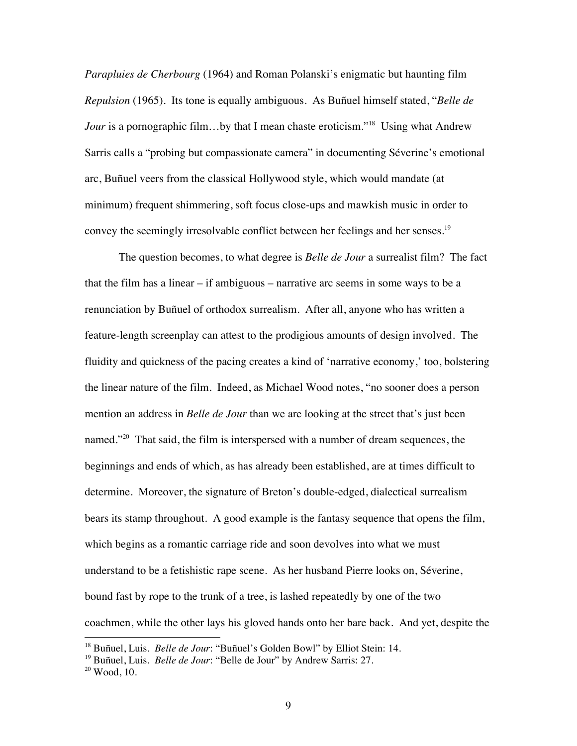*Parapluies de Cherbourg* (1964) and Roman Polanski's enigmatic but haunting film *Repulsion* (1965). Its tone is equally ambiguous. As Buñuel himself stated, "*Belle de Jour* is a pornographic film...by that I mean chaste eroticism."<sup>18</sup> Using what Andrew Sarris calls a "probing but compassionate camera" in documenting Séverine's emotional arc, Buñuel veers from the classical Hollywood style, which would mandate (at minimum) frequent shimmering, soft focus close-ups and mawkish music in order to convey the seemingly irresolvable conflict between her feelings and her senses.<sup>19</sup>

The question becomes, to what degree is *Belle de Jour* a surrealist film? The fact that the film has a linear – if ambiguous – narrative arc seems in some ways to be a renunciation by Buñuel of orthodox surrealism. After all, anyone who has written a feature-length screenplay can attest to the prodigious amounts of design involved. The fluidity and quickness of the pacing creates a kind of 'narrative economy,' too, bolstering the linear nature of the film. Indeed, as Michael Wood notes, "no sooner does a person mention an address in *Belle de Jour* than we are looking at the street that's just been named."<sup>20</sup> That said, the film is interspersed with a number of dream sequences, the beginnings and ends of which, as has already been established, are at times difficult to determine. Moreover, the signature of Breton's double-edged, dialectical surrealism bears its stamp throughout. A good example is the fantasy sequence that opens the film, which begins as a romantic carriage ride and soon devolves into what we must understand to be a fetishistic rape scene. As her husband Pierre looks on, Séverine, bound fast by rope to the trunk of a tree, is lashed repeatedly by one of the two coachmen, while the other lays his gloved hands onto her bare back. And yet, despite the

<sup>18</sup> Buñuel, Luis. *Belle de Jour*: "Buñuel's Golden Bowl" by Elliot Stein: 14.

<sup>&</sup>lt;sup>19</sup> Buñuel, Luis. *Belle de Jour*: "Belle de Jour" by Andrew Sarris: 27.<br><sup>20</sup> Wood, 10.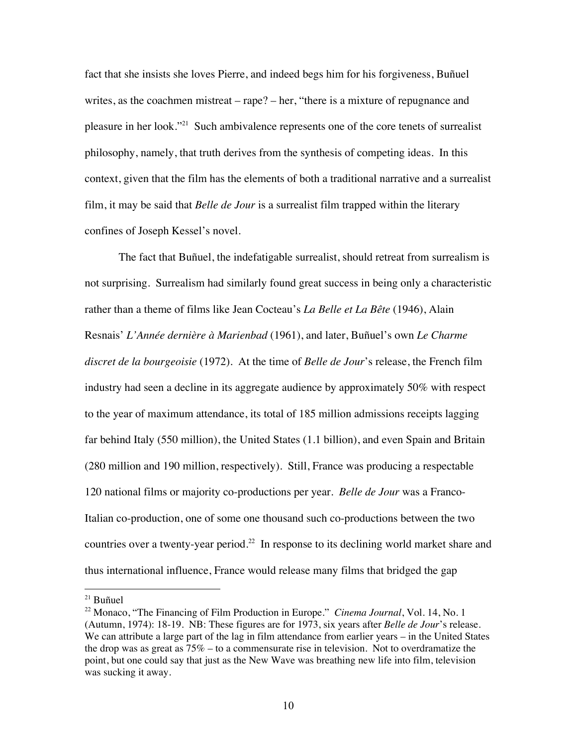fact that she insists she loves Pierre, and indeed begs him for his forgiveness, Buñuel writes, as the coachmen mistreat – rape? – her, "there is a mixture of repugnance and pleasure in her look."<sup>21</sup> Such ambivalence represents one of the core tenets of surrealist philosophy, namely, that truth derives from the synthesis of competing ideas. In this context, given that the film has the elements of both a traditional narrative and a surrealist film, it may be said that *Belle de Jour* is a surrealist film trapped within the literary confines of Joseph Kessel's novel.

The fact that Buñuel, the indefatigable surrealist, should retreat from surrealism is not surprising. Surrealism had similarly found great success in being only a characteristic rather than a theme of films like Jean Cocteau's *La Belle et La Bête* (1946), Alain Resnais' *L'Année dernière à Marienbad* (1961), and later, Buñuel's own *Le Charme discret de la bourgeoisie* (1972). At the time of *Belle de Jour*'s release, the French film industry had seen a decline in its aggregate audience by approximately 50% with respect to the year of maximum attendance, its total of 185 million admissions receipts lagging far behind Italy (550 million), the United States (1.1 billion), and even Spain and Britain (280 million and 190 million, respectively). Still, France was producing a respectable 120 national films or majority co-productions per year. *Belle de Jour* was a Franco-Italian co-production, one of some one thousand such co-productions between the two countries over a twenty-year period.<sup>22</sup> In response to its declining world market share and thus international influence, France would release many films that bridged the gap

 $21$  Buñuel

<sup>&</sup>lt;sup>22</sup> Monaco, "The Financing of Film Production in Europe." *Cinema Journal*, Vol. 14, No. 1 (Autumn, 1974): 18-19. NB: These figures are for 1973, six years after *Belle de Jour*'s release. We can attribute a large part of the lag in film attendance from earlier years – in the United States the drop was as great as  $75\%$  – to a commensurate rise in television. Not to overdramatize the point, but one could say that just as the New Wave was breathing new life into film, television was sucking it away.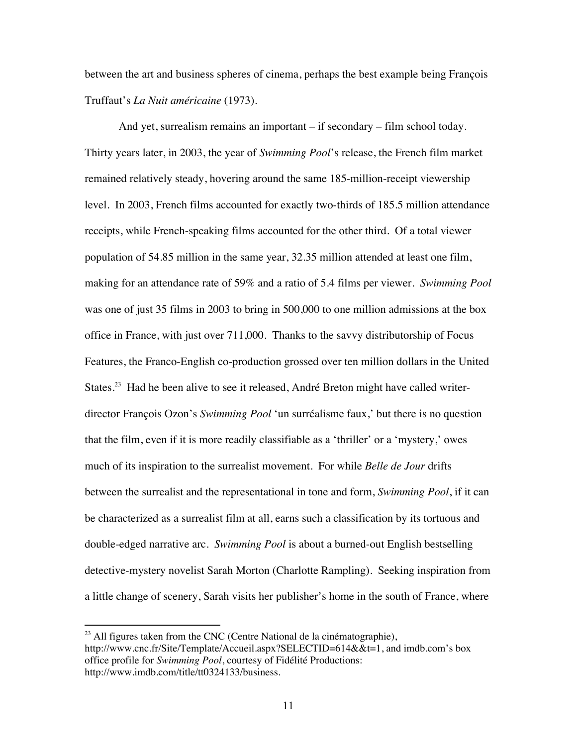between the art and business spheres of cinema, perhaps the best example being François Truffaut's *La Nuit américaine* (1973).

And yet, surrealism remains an important – if secondary – film school today. Thirty years later, in 2003, the year of *Swimming Pool*'s release, the French film market remained relatively steady, hovering around the same 185-million-receipt viewership level. In 2003, French films accounted for exactly two-thirds of 185.5 million attendance receipts, while French-speaking films accounted for the other third. Of a total viewer population of 54.85 million in the same year, 32.35 million attended at least one film, making for an attendance rate of 59% and a ratio of 5.4 films per viewer. *Swimming Pool* was one of just 35 films in 2003 to bring in 500,000 to one million admissions at the box office in France, with just over 711,000. Thanks to the savvy distributorship of Focus Features, the Franco-English co-production grossed over ten million dollars in the United States.<sup>23</sup> Had he been alive to see it released, André Breton might have called writerdirector François Ozon's *Swimming Pool* 'un surréalisme faux,' but there is no question that the film, even if it is more readily classifiable as a 'thriller' or a 'mystery,' owes much of its inspiration to the surrealist movement. For while *Belle de Jour* drifts between the surrealist and the representational in tone and form, *Swimming Pool*, if it can be characterized as a surrealist film at all, earns such a classification by its tortuous and double-edged narrative arc. *Swimming Pool* is about a burned-out English bestselling detective-mystery novelist Sarah Morton (Charlotte Rampling). Seeking inspiration from a little change of scenery, Sarah visits her publisher's home in the south of France, where

 $^{23}$  All figures taken from the CNC (Centre National de la cinématographie), http://www.cnc.fr/Site/Template/Accueil.aspx?SELECTID=614&&t=1, and imdb.com's box office profile for *Swimming Pool*, courtesy of Fidélité Productions: http://www.imdb.com/title/tt0324133/business.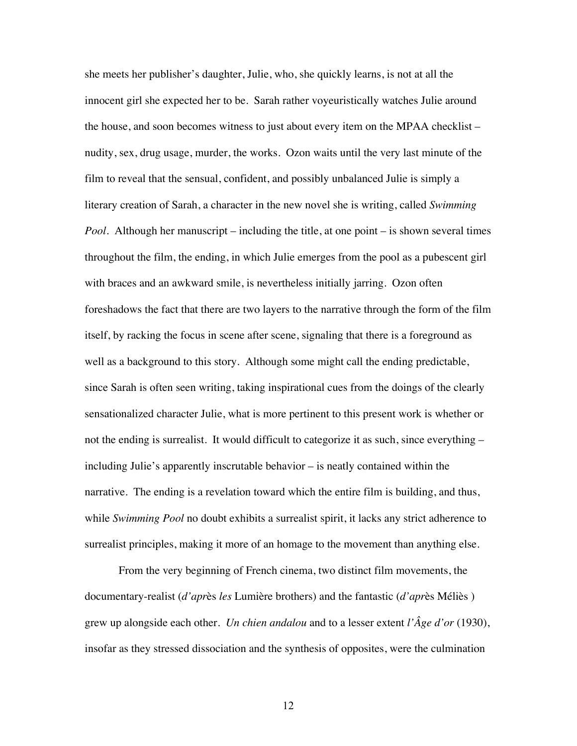she meets her publisher's daughter, Julie, who, she quickly learns, is not at all the innocent girl she expected her to be. Sarah rather voyeuristically watches Julie around the house, and soon becomes witness to just about every item on the MPAA checklist – nudity, sex, drug usage, murder, the works. Ozon waits until the very last minute of the film to reveal that the sensual, confident, and possibly unbalanced Julie is simply a literary creation of Sarah, a character in the new novel she is writing, called *Swimming Pool*. Although her manuscript – including the title, at one point – is shown several times throughout the film, the ending, in which Julie emerges from the pool as a pubescent girl with braces and an awkward smile, is nevertheless initially jarring. Ozon often foreshadows the fact that there are two layers to the narrative through the form of the film itself, by racking the focus in scene after scene, signaling that there is a foreground as well as a background to this story. Although some might call the ending predictable, since Sarah is often seen writing, taking inspirational cues from the doings of the clearly sensationalized character Julie, what is more pertinent to this present work is whether or not the ending is surrealist. It would difficult to categorize it as such, since everything – including Julie's apparently inscrutable behavior – is neatly contained within the narrative. The ending is a revelation toward which the entire film is building, and thus, while *Swimming Pool* no doubt exhibits a surrealist spirit, it lacks any strict adherence to surrealist principles, making it more of an homage to the movement than anything else.

From the very beginning of French cinema, two distinct film movements, the documentary-realist (*d'apr*ès *les* Lumière brothers) and the fantastic (*d'apr*ès Méliès ) grew up alongside each other. *Un chien andalou* and to a lesser extent *l'Âge d'or* (1930), insofar as they stressed dissociation and the synthesis of opposites, were the culmination

12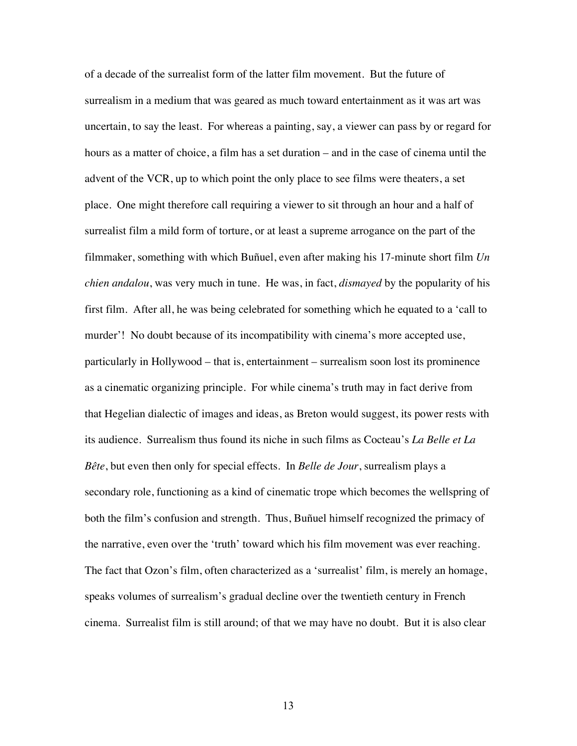of a decade of the surrealist form of the latter film movement. But the future of surrealism in a medium that was geared as much toward entertainment as it was art was uncertain, to say the least. For whereas a painting, say, a viewer can pass by or regard for hours as a matter of choice, a film has a set duration – and in the case of cinema until the advent of the VCR, up to which point the only place to see films were theaters, a set place. One might therefore call requiring a viewer to sit through an hour and a half of surrealist film a mild form of torture, or at least a supreme arrogance on the part of the filmmaker, something with which Buñuel, even after making his 17-minute short film *Un chien andalou*, was very much in tune. He was, in fact, *dismayed* by the popularity of his first film. After all, he was being celebrated for something which he equated to a 'call to murder'! No doubt because of its incompatibility with cinema's more accepted use, particularly in Hollywood – that is, entertainment – surrealism soon lost its prominence as a cinematic organizing principle. For while cinema's truth may in fact derive from that Hegelian dialectic of images and ideas, as Breton would suggest, its power rests with its audience. Surrealism thus found its niche in such films as Cocteau's *La Belle et La Bête*, but even then only for special effects. In *Belle de Jour*, surrealism plays a secondary role, functioning as a kind of cinematic trope which becomes the wellspring of both the film's confusion and strength. Thus, Buñuel himself recognized the primacy of the narrative, even over the 'truth' toward which his film movement was ever reaching. The fact that Ozon's film, often characterized as a 'surrealist' film, is merely an homage, speaks volumes of surrealism's gradual decline over the twentieth century in French cinema. Surrealist film is still around; of that we may have no doubt. But it is also clear

13